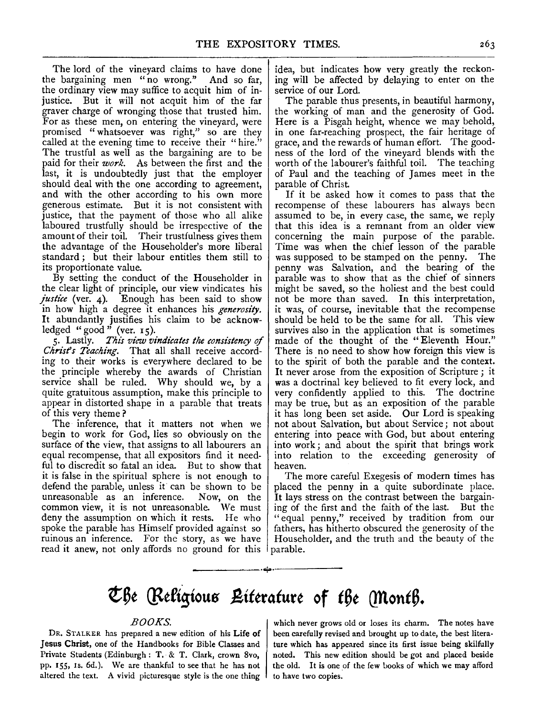The lord of the vineyard claims to have done the bargaining men "no wrong." And so far, the ordinary view may suffice to acquit him of injustice. But it will not acquit him of the far graver charge of wronging those that trusted him. For as these men, on entering the vineyard, were promised " whatsoever was right," so are they called at the evening time to receive their "hire." The trustful as well as the bargaining are to be paid for their *work.* As between the first and the last, it is undoubtedly just that the employer should deal with the one according to agreement, and with the other according to his own more generous estimate. But it is not consistent with justice, that the payment of those who all alike laboured trustfully should be irrespective of the amount of their toil. Their trustfulness gives them the advantage of the Householder's more liberal standard ; but their labour entitles them still to its proportionate value.

By setting the conduct of the Householder in the clear light of principle, our view vindicates his *justice* (ver. 4). Enough has been said to show in how high a degree it enhances his *generosity.*  It abundantly justifies his claim to be acknowledged "good" (ver.  $15$ ).

5· Lastly. *This view vindicates tlze consistency* of *Chrisfs Teaching.* That all shall receive according to their works is everywhere declared to be the principle whereby the awards of Christian service shall be ruled. Why should we, by a quite gratuitous assumption, make this principle to appear in distorted shape in a parable that treats of this very theme ?

The inference, that it matters not when we begin to work for God, lies so obviously on the surface of the view, that assigns to all labourers an equal recompense, that all expositors find it needful to discredit so fatal an idea. But to show that it is false in the spiritual sphere is not enough to defend the parable, unless it' can be shown to be unreasonable as an inference. Now, on the common view, it is not unreasonable. \Ve must deny the assumption on which it rests. He who spoke the parable has Himself provided against so ruinous an inference. For the story, as we have read it anew, not only affords no ground for this idea, but indicates how very greatly the reckoning will be affected by delaying to enter on the service of our Lord.

The parable thus presents, in beautiful harmony, the working of man and the generosity of God. Here is a Pisgah height, whence we may behold, in one far-reaching prospect, the fair heritage of grace, and the rewards of human effort. The goodness of the lord of the vineyard blends with the worth of the labourer's faithful toil. The teaching of Paul and the teaching of James meet in the parable of Christ.

If it be asked how it comes to pass that the recompense of these labourers has always been assumed to be, in every case, the same, we reply that this idea is a remnant from an older view concerning the main purpose of the parable. Time was when the chief lesson of the parable was supposed to be stamped on the penny. The penny was Salvation, and the bearing of the parable was to show that as the chief of sinners might be saved, so the holiest and the best could not be more than saved. In this interpretation, it was, of course, inevitable that the recompense should be held to be the same for all. This view survives also in the application that is sometimes made of the thought of the "Eleventh Hour." There is no need to show how foreign this view is to the spirit of both the parable and the context. It never arose from the exposition of Scripture ; it was a doctrinal key believed to fit every lock, and very confidently applied to this. The doctrine may be true, but as an exposition of the parable it has long been set aside. Our Lord is speaking not about Salvation, but about Service; not about entering into peace with God, but about entering into work; and about the spirit that brings work into relation to the exceeding generosity of heaven.

The more careful Exegesis of modern times has placed the penny in a quite subordinate place. It lays stress on the contrast between the bargaining of the first and the faith of the last. But the "equal penny," received by tradition from our fathers, has hitherto obscured the generosity of the Householder, and the truth and the beauty of the parable.

## ~6t **(Fefigiou6** ~ittrdturt **of** *t6t* **Qllont6.**

-----------·~·-----------

## *BOOKS.*

DR. STALKER has prepared a new edition of his Life of Jesus Christ, one of the Handbooks for Bible Classes and Private Students (Edinburgh : T, & T. Clark, crown Svo, pp. 155, Is. 6d.). We are thankful to see that he has not altered the text. A vivid picturesque style is the one thing

which never grows old or loses its charm. The notes have been carefully revised and brought up to date, the best litera· ture which has appeared since its first issue being skilfully noted. This new edition should be got and placed beside the old. It is one of the few books of which we may afford to have two copies.